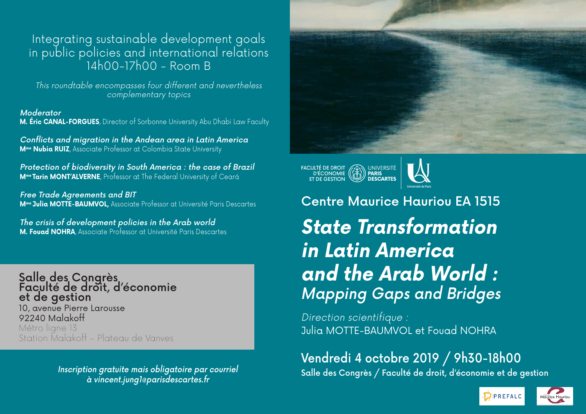### Integrating sustainable development goals in public policies and international relations 14h00-17h00 - Room B

This roundtable encompasses four different and nevertheless complementary topics

Moderator **M. Éric CANAL-FORGUES**, Director of Sorbonne University Abu Dhabi Law Faculty

Conflicts and migration in the Andean area in Latin America **Mme Nubia RUIZ**, Associate Professor at Colombia State University

Protection of biodiversity in South America : the case of Brazil **Mme Tarin MONT'ALVERNE**, Professor at The Federal University of Ceará

Free Trade Agreements and BIT **Mme Julia MOTTE-BAUMVOL,** Associate Professor at Université Paris Descartes

The crisis of development policies in the Arab world **M. Fouad NOHRA**, Associate Professor at Université Paris Descartes

Salle des Congrès<br>Faculté de droit, d'économie et de gestion 10, avenue Pierre Larousse 92240 Malakoff Métro ligne 13 Station Malakoff - Plateau de Vanves

à vincent.jung1@parisdescartes.fr



FACULTÉ DE DROIT<br>D'ÉCONOMIE (CH) PARIS<br>ET DE GESTION (LU) DESCARTES



Centre Maurice Hauriou EA 1515 **State Transformation in Latin America and the Arab World :**  Mapping Gaps and Bridges

Direction scientifique : Julia MOTTE-BAUMVOL et Fouad NOHRA

## Vendredi 4 octobre 2019 / 9h30-18h00

Inscription gratuite mais obligatoire par courriel salle des Congrès / Faculté de droit, d'économie et de gestion